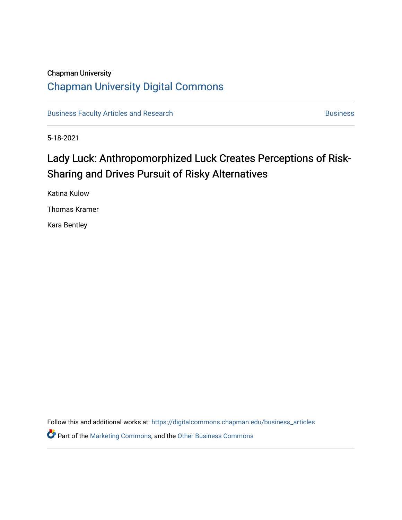# Chapman University [Chapman University Digital Commons](https://digitalcommons.chapman.edu/)

[Business Faculty Articles and Research](https://digitalcommons.chapman.edu/business_articles) [Business](https://digitalcommons.chapman.edu/business) **Business** Business

5-18-2021

# Lady Luck: Anthropomorphized Luck Creates Perceptions of Risk-Sharing and Drives Pursuit of Risky Alternatives

Katina Kulow

Thomas Kramer

Kara Bentley

Follow this and additional works at: [https://digitalcommons.chapman.edu/business\\_articles](https://digitalcommons.chapman.edu/business_articles?utm_source=digitalcommons.chapman.edu%2Fbusiness_articles%2F110&utm_medium=PDF&utm_campaign=PDFCoverPages) 

**Part of the [Marketing Commons](http://network.bepress.com/hgg/discipline/638?utm_source=digitalcommons.chapman.edu%2Fbusiness_articles%2F110&utm_medium=PDF&utm_campaign=PDFCoverPages), and the [Other Business Commons](http://network.bepress.com/hgg/discipline/647?utm_source=digitalcommons.chapman.edu%2Fbusiness_articles%2F110&utm_medium=PDF&utm_campaign=PDFCoverPages)**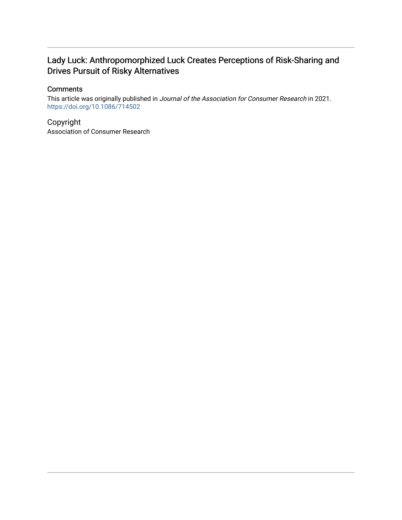# Lady Luck: Anthropomorphized Luck Creates Perceptions of Risk-Sharing and Drives Pursuit of Risky Alternatives

# **Comments**

This article was originally published in Journal of the Association for Consumer Research in 2021. <https://doi.org/10.1086/714502>

Copyright Association of Consumer Research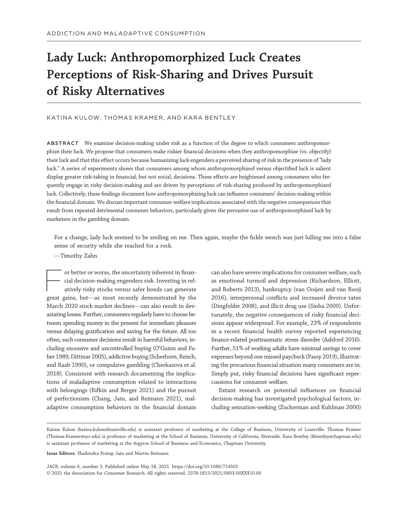# Lady Luck: Anthropomorphized Luck Creates Perceptions of Risk-Sharing and Drives Pursuit of Risky Alternatives

# KATINA KULOW, THOMAS KRAMER, AND KARA BENTLEY

ABSTRACT We examine decision-making under risk as a function of the degree to which consumers anthropomorphize their luck. We propose that consumers make riskier financial decisions when they anthropomorphize (vs. objectify) their luck and that this effect occurs because humanizing luck engenders a perceived sharing of risk in the presence of"lady luck." A series of experiments shows that consumers among whom anthropomorphized versus objectified luck is salient display greater risk-taking in financial, but not social, decisions. These effects are heightened among consumers who frequently engage in risky decision-making and are driven by perceptions of risk-sharing produced by anthropomorphized luck. Collectively, these findings document how anthropomorphizing luck can influence consumers' decision-making within the financial domain. We discuss important consumer welfare implications associated with the negative consequences that result from repeated detrimental consumer behaviors, particularly given the pervasive use of anthropomorphized luck by marketers in the gambling domain.

For a change, lady luck seemed to be smiling on me. Then again, maybe the fickle wench was just lulling me into a false sense of security while she reached for a rock.

# —Timothy Zahn

or better or worse, the uncertainty inherent in financial decision-making engenders risk. Investing in relatively risky stocks versus safer bonds can generate cial decision-making engenders risk. Investing in relatively risky stocks versus safer bonds can generate great gains, but—as most recently demonstrated by the March 2020 stock market declines—can also result in devastating losses. Further, consumers regularly have to choose between spending money in the present for immediate pleasure versus delaying gratification and saving for the future. All too often, such consumer decisions result in harmful behaviors, including excessive and uncontrolled buying (O'Guinn and Faber 1989; Dittmar 2005), addictive buying (Scherhorn, Reisch, and Raab 1990), or compulsive gambling (Cherkasova et al. 2018). Consistent with research documenting the implications of maladaptive consumption related to interactions with belongings (Rifkin and Berger 2021) and the pursuit of perfectionism (Chang, Jain, and Reimann 2021), maladaptive consumption behaviors in the financial domain

can also have severe implications for consumer welfare, such as emotional turmoil and depression (Richardson, Elliott, and Roberts 2013), bankruptcy (van Ooijen and van Rooij 2016), interpersonal conflicts and increased divorce rates (Dingfelder 2008), and illicit drug use (Sinha 2009). Unfortunately, the negative consequences of risky financial decisions appear widespread. For example, 23% of respondents in a recent financial health survey reported experiencing finance-related posttraumatic stress disorder (Ashford 2016). Further, 51% of working adults have minimal savings to cover expenses beyond one missed paycheck (Passy 2019), illustrating the precarious financial situation many consumers are in. Simply put, risky financial decisions have significant repercussions for consumer welfare.

Extant research on potential influences on financial decision-making has investigated psychological factors, including sensation-seeking (Zuckerman and Kuhlman 2000)

#### Issue Editors: Shailendra Pratap Jain and Martin Reimann

JACR, volume 6, number 3. Published online May 18, 2021. https://doi.org/10.1086/714502 © 2021 the Association for Consumer Research. All rights reserved. 2378-1815/2021/0603-00XX\$10.00

Katina Kulow ([katina.kulow@louisville.edu\)](mailto:katina.kulow@louisville.edu) is assistant professor of marketing at the College of Business, University of Louisville. Thomas Kramer [\(Thomas.Kramer@ucr.edu\)](mailto:Thomas.Kramer@ucr.edu) is professor of marketing at the School of Business, University of California, Riverside. Kara Bentley [\(kbentley@chapman.edu](mailto:kbentley@chapman.edu)) is assistant professor of marketing at the Argyros School of Business and Economics, Chapman University.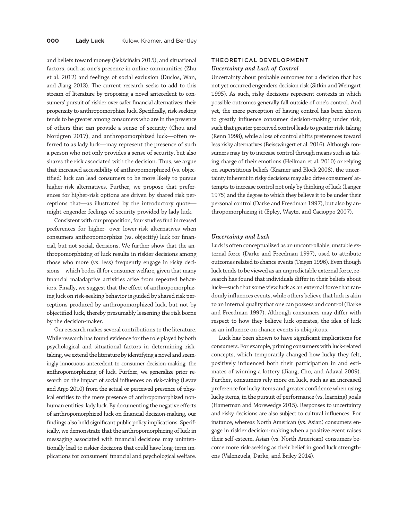and beliefs toward money (Sekścińska 2015), and situational factors, such as one's presence in online communities (Zhu et al. 2012) and feelings of social exclusion (Duclos, Wan, and Jiang 2013). The current research seeks to add to this stream of literature by proposing a novel antecedent to consumers' pursuit of riskier over safer financial alternatives: their propensity to anthropomorphize luck. Specifically, risk-seeking tends to be greater among consumers who are in the presence of others that can provide a sense of security (Chou and Nordgren 2017), and anthropomorphized luck—often referred to as lady luck—may represent the presence of such a person who not only provides a sense of security, but also shares the risk associated with the decision. Thus, we argue that increased accessibility of anthropomorphized (vs. objectified) luck can lead consumers to be more likely to pursue higher-risk alternatives. Further, we propose that preferences for higher-risk options are driven by shared risk perceptions that—as illustrated by the introductory quote might engender feelings of security provided by lady luck.

Consistent with our proposition, four studies find increased preferences for higher- over lower-risk alternatives when consumers anthropomorphize (vs. objectify) luck for financial, but not social, decisions. We further show that the anthropomorphizing of luck results in riskier decisions among those who more (vs. less) frequently engage in risky decisions—which bodes ill for consumer welfare, given that many financial maladaptive activities arise from repeated behaviors. Finally, we suggest that the effect of anthropomorphizing luck on risk-seeking behavior is guided by shared risk perceptions produced by anthropomorphized luck, but not by objectified luck, thereby presumably lessening the risk borne by the decision-maker.

Our research makes several contributions to the literature. While research has found evidence for the role played by both psychological and situational factors in determining risktaking, we extend the literature by identifying a novel and seemingly innocuous antecedent to consumer decision-making: the anthropomorphizing of luck. Further, we generalize prior research on the impact of social influences on risk-taking (Levav and Argo 2010) from the actual or perceived presence of physical entities to the mere presence of anthropomorphized nonhuman entities: lady luck. By documenting the negative effects of anthropomorphized luck on financial decision-making, our findings also hold significant public policy implications. Specifically, we demonstrate that the anthropomorphizing of luck in messaging associated with financial decisions may unintentionally lead to riskier decisions that could have long-term implications for consumers' financial and psychological welfare.

# THEORETICAL DEVELOPMENT Uncertainty and Lack of Control

Uncertainty about probable outcomes for a decision that has not yet occurred engenders decision risk (Sitkin and Weingart 1995). As such, risky decisions represent contexts in which possible outcomes generally fall outside of one's control. And yet, the mere perception of having control has been shown to greatly influence consumer decision-making under risk, such that greater perceived control leads to greater risk-taking (Renn 1998), while a loss of control shifts preferences toward less risky alternatives (Beisswingert et al. 2016). Although consumers may try to increase control through means such as taking charge of their emotions (Heilman et al. 2010) or relying on superstitious beliefs (Kramer and Block 2008), the uncertainty inherent in risky decisions may also drive consumers' attempts to increase control not only by thinking of luck (Langer 1975) and the degree to which they believe it to be under their personal control (Darke and Freedman 1997), but also by anthropomorphizing it (Epley, Waytz, and Cacioppo 2007).

## Uncertainty and Luck

Luck is often conceptualized as an uncontrollable, unstable external force (Darke and Freedman 1997), used to attribute outcomes related to chance events (Teigen 1996). Even though luck tends to be viewed as an unpredictable external force, research has found that individuals differ in their beliefs about luck—such that some view luck as an external force that randomly influences events, while others believe that luck is akin to an internal quality that one can possess and control (Darke and Freedman 1997). Although consumers may differ with respect to how they believe luck operates, the idea of luck as an influence on chance events is ubiquitous.

Luck has been shown to have significant implications for consumers. For example, priming consumers with luck-related concepts, which temporarily changed how lucky they felt, positively influenced both their participation in and estimates of winning a lottery (Jiang, Cho, and Adaval 2009). Further, consumers rely more on luck, such as an increased preference for lucky items and greater confidence when using lucky items, in the pursuit of performance (vs. learning) goals (Hamerman and Morewedge 2015). Responses to uncertainty and risky decisions are also subject to cultural influences. For instance, whereas North American (vs. Asian) consumers engage in riskier decision-making when a positive event raises their self-esteem, Asian (vs. North American) consumers become more risk-seeking as their belief in good luck strengthens (Valenzuela, Darke, and Briley 2014).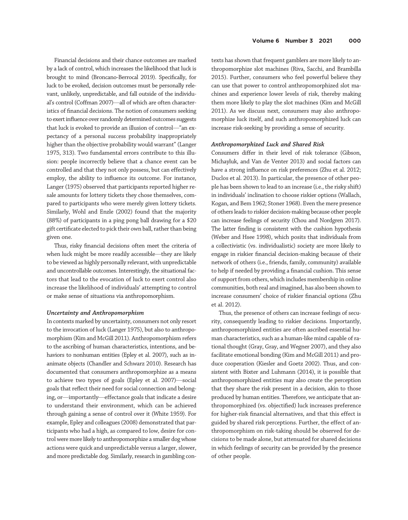Financial decisions and their chance outcomes are marked by a lack of control, which increases the likelihood that luck is brought to mind (Broncano-Berrocal 2019). Specifically, for luck to be evoked, decision outcomes must be personally relevant, unlikely, unpredictable, and fall outside of the individual's control (Coffman 2007)—all of which are often characteristics of financial decisions. The notion of consumers seeking to exert influence over randomly determined outcomes suggests that luck is evoked to provide an illusion of control—"an expectancy of a personal success probability inappropriately higher than the objective probability would warrant" (Langer 1975, 313). Two fundamental errors contribute to this illusion: people incorrectly believe that a chance event can be controlled and that they not only possess, but can effectively employ, the ability to influence its outcome. For instance, Langer (1975) observed that participants reported higher resale amounts for lottery tickets they chose themselves, compared to participants who were merely given lottery tickets. Similarly, Wohl and Enzle (2002) found that the majority (88%) of participants in a ping pong ball drawing for a \$20 gift certificate elected to pick their own ball, rather than being given one.

Thus, risky financial decisions often meet the criteria of when luck might be more readily accessible—they are likely to be viewed as highly personally relevant, with unpredictable and uncontrollable outcomes. Interestingly, the situational factors that lead to the evocation of luck to exert control also increase the likelihood of individuals' attempting to control or make sense of situations via anthropomorphism.

# Uncertainty and Anthropomorphism

In contexts marked by uncertainty, consumers not only resort to the invocation of luck (Langer 1975), but also to anthropomorphism (Kim and McGill 2011). Anthropomorphism refers to the ascribing of human characteristics, intentions, and behaviors to nonhuman entities (Epley et al. 2007), such as inanimate objects (Chandler and Schwarz 2010). Research has documented that consumers anthropomorphize as a means to achieve two types of goals (Epley et al. 2007)—social goals that reflect their need for social connection and belonging, or—importantly—effectance goals that indicate a desire to understand their environment, which can be achieved through gaining a sense of control over it (White 1959). For example, Epley and colleagues (2008) demonstrated that participants who had a high, as compared to low, desire for control were more likely to anthropomorphize a smaller dog whose actions were quick and unpredictable versus a larger, slower, and more predictable dog. Similarly, research in gambling con-

texts has shown that frequent gamblers are more likely to anthropomorphize slot machines (Riva, Sacchi, and Brambilla 2015). Further, consumers who feel powerful believe they can use that power to control anthropomorphized slot machines and experience lower levels of risk, thereby making them more likely to play the slot machines (Kim and McGill 2011). As we discuss next, consumers may also anthropomorphize luck itself, and such anthropomorphized luck can increase risk-seeking by providing a sense of security.

### Anthropomorphized Luck and Shared Risk

Consumers differ in their level of risk tolerance (Gibson, Michayluk, and Van de Venter 2013) and social factors can have a strong influence on risk preferences (Zhu et al. 2012; Duclos et al. 2013). In particular, the presence of other people has been shown to lead to an increase (i.e., the risky shift) in individuals' inclination to choose riskier options (Wallach, Kogan, and Bem 1962; Stoner 1968). Even the mere presence of others leads to riskier decision-making because other people can increase feelings of security (Chou and Nordgren 2017). The latter finding is consistent with the cushion hypothesis (Weber and Hsee 1998), which posits that individuals from a collectivistic (vs. individualistic) society are more likely to engage in riskier financial decision-making because of their network of others (i.e., friends, family, community) available to help if needed by providing a financial cushion. This sense of support from others, which includes membership in online communities, both real and imagined, has also been shown to increase consumers' choice of riskier financial options (Zhu et al. 2012).

Thus, the presence of others can increase feelings of security, consequently leading to riskier decisions. Importantly, anthropomorphized entities are often ascribed essential human characteristics, such as a human-like mind capable of rational thought (Gray, Gray, and Wegner 2007), and they also facilitate emotional bonding (Kim and McGill 2011) and produce cooperation (Kiesler and Goetz 2002). Thus, and consistent with Bixter and Luhmann (2014), it is possible that anthropomorphized entities may also create the perception that they share the risk present in a decision, akin to those produced by human entities. Therefore, we anticipate that anthropomorphized (vs. objectified) luck increases preference for higher-risk financial alternatives, and that this effect is guided by shared risk perceptions. Further, the effect of anthropomorphism on risk-taking should be observed for decisions to be made alone, but attenuated for shared decisions in which feelings of security can be provided by the presence of other people.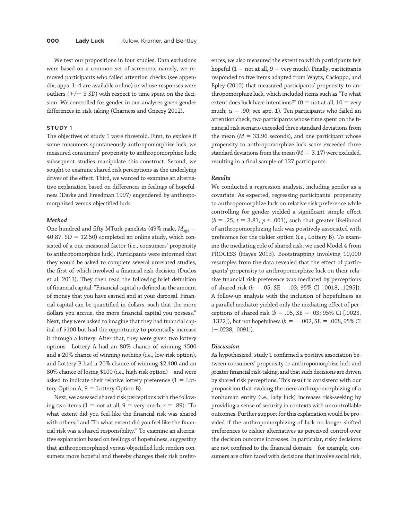We test our propositions in four studies. Data exclusions were based on a common set of screeners; namely, we removed participants who failed attention checks (see appendix; apps. 1–4 are available online) or whose responses were outliers  $(+/- 3 SD)$  with respect to time spent on the decision. We controlled for gender in our analyses given gender differences in risk-taking (Charness and Gneezy 2012).

# STUDY 1

The objectives of study 1 were threefold. First, to explore if some consumers spontaneously anthropomorphize luck, we measured consumers' propensity to anthropomorphize luck; subsequent studies manipulate this construct. Second, we sought to examine shared risk perceptions as the underlying driver of the effect. Third, we wanted to examine an alternative explanation based on differences in feelings of hopefulness (Darke and Freedman 1997) engendered by anthropomorphized versus objectified luck.

#### Method

One hundred and fifty MTurk panelists (49% male,  $M_{\text{age}} =$ 40.87,  $SD = 12.50$ ) completed an online study, which consisted of a one measured factor (i.e., consumers' propensity to anthropomorphize luck). Participants were informed that they would be asked to complete several unrelated studies, the first of which involved a financial risk decision (Duclos et al. 2013). They then read the following brief definition of financial capital:"Financial capital is defined as the amount of money that you have earned and at your disposal. Financial capital can be quantified in dollars, such that the more dollars you accrue, the more financial capital you possess." Next, they were asked to imagine that they had financial capital of \$100 but had the opportunity to potentially increase it through a lottery. After that, they were given two lottery options—Lottery A had an 80% chance of winning \$500 and a 20% chance of winning nothing (i.e., low-risk option), and Lottery B had a 20% chance of winning \$2,400 and an 80% chance of losing \$100 (i.e., high-risk option)—and were asked to indicate their relative lottery preference  $(1 =$  Lottery Option A,  $9 =$  Lottery Option B).

Next, we assessed shared risk perceptions with the following two items (1 = not at all, 9 = very much;  $r = .89$ ): "To what extent did you feel like the financial risk was shared with others;" and "To what extent did you feel like the financial risk was a shared responsibility." To examine an alternative explanation based on feelings of hopefulness, suggesting that anthropomorphized versus objectified luck renders consumers more hopeful and thereby changes their risk prefer-

ences, we also measured the extent to which participants felt hopeful (1 = not at all, 9 = very much). Finally, participants responded to five items adapted from Waytz, Cacioppo, and Epley (2010) that measured participants' propensity to anthropomorphize luck, which included items such as"To what extent does luck have intentions?" ( $0 =$  not at all,  $10 =$  very much;  $\alpha = .90$ ; see app. 1). Ten participants who failed an attention check, two participants whose time spent on the financial risk scenario exceeded three standard deviations from the mean  $(M = 33.96$  seconds), and one participant whose propensity to anthropomorphize luck score exceeded three standard deviations from the mean  $(M = 3.17)$  were excluded, resulting in a final sample of 137 participants.

### Results

We conducted a regression analysis, including gender as a covariate. As expected, regressing participants' propensity to anthropomorphize luck on relative risk preference while controlling for gender yielded a significant simple effect  $(b = .25, t = 3.81, p < .001)$ , such that greater likelihood of anthropomorphizing luck was positively associated with preference for the riskier option (i.e., Lottery B). To examine the mediating role of shared risk, we used Model 4 from PROCESS (Hayes 2013). Bootstrapping involving 10,000 resamples from the data revealed that the effect of participants' propensity to anthropomorphize luck on their relative financial risk preference was mediated by perceptions of shared risk ( $b = .05$ ,  $SE = .03$ ; 95% CI [.0018, .1295]). A follow-up analysis with the inclusion of hopefulness as a parallel mediator yielded only the mediating effect of perceptions of shared risk ( $b = .05$ , SE =  $.03$ ; 95% CI [.0023, .1322]), but not hopefulness ( $b = -.002$ , SE = .008, 95% CI  $[-.0238, .0091]$ .

# Discussion

As hypothesized, study 1 confirmed a positive association between consumers' propensity to anthropomorphize luck and greater financial risk-taking, and that such decisions are driven by shared risk perceptions. This result is consistent with our proposition that evoking the mere anthropomorphizing of a nonhuman entity (i.e., lady luck) increases risk-seeking by providing a sense of security in contexts with uncontrollable outcomes. Further support for this explanation would be provided if the anthropomorphizing of luck no longer shifted preferences to riskier alternatives as perceived control over the decision outcome increases. In particular, risky decisions are not confined to the financial domain—for example, consumers are often faced with decisions that involve social risk,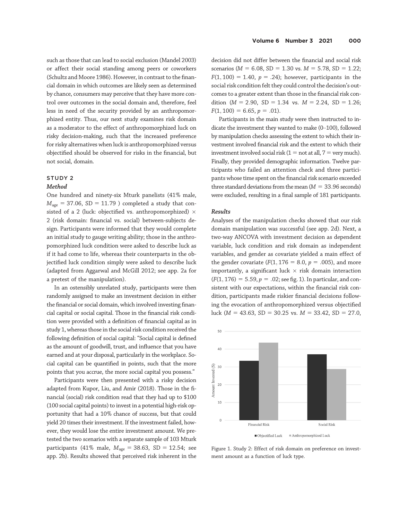such as those that can lead to social exclusion (Mandel 2003) or affect their social standing among peers or coworkers (Schultz and Moore 1986). However, in contrast to the financial domain in which outcomes are likely seen as determined by chance, consumers may perceive that they have more control over outcomes in the social domain and, therefore, feel less in need of the security provided by an anthropomorphized entity. Thus, our next study examines risk domain as a moderator to the effect of anthropomorphized luck on risky decision-making, such that the increased preference for risky alternatives when luck is anthropomorphized versus objectified should be observed for risks in the financial, but not social, domain.

# STUDY 2

# Method

One hundred and ninety-six Mturk panelists (41% male,  $M_{\text{age}} = 37.06$ , SD = 11.79 ) completed a study that consisted of a 2 (luck: objectified vs. anthropomorphized)  $\times$ 2 (risk domain: financial vs. social) between-subjects design. Participants were informed that they would complete an initial study to gauge writing ability; those in the anthropomorphized luck condition were asked to describe luck as if it had come to life, whereas their counterparts in the objectified luck condition simply were asked to describe luck (adapted from Aggarwal and McGill 2012; see app. 2a for a pretest of the manipulation).

In an ostensibly unrelated study, participants were then randomly assigned to make an investment decision in either the financial or social domain, which involved investing financial capital or social capital. Those in the financial risk condition were provided with a definition of financial capital as in study 1, whereas those in the social risk condition received the following definition of social capital: "Social capital is defined as the amount of goodwill, trust, and influence that you have earned and at your disposal, particularly in the workplace. Social capital can be quantified in points, such that the more points that you accrue, the more social capital you possess."

Participants were then presented with a risky decision adapted from Kupor, Liu, and Amir (2018). Those in the financial (social) risk condition read that they had up to \$100 (100 social capital points) to invest in a potential high-risk opportunity that had a 10% chance of success, but that could yield 20 times their investment. If the investment failed, however, they would lose the entire investment amount. We pretested the two scenarios with a separate sample of 103 Mturk participants (41% male,  $M_{\text{age}} = 38.63$ , SD = 12.54; see app. 2b). Results showed that perceived risk inherent in the

decision did not differ between the financial and social risk scenarios ( $M = 6.08$ , SD = 1.30 vs.  $M = 5.78$ , SD = 1.22;  $F(1, 100) = 1.40$ ,  $p = .24$ ); however, participants in the social risk condition felt they could control the decision's outcomes to a greater extent than those in the financial risk condition ( $M = 2.90$ , SD = 1.34 vs.  $M = 2.24$ , SD = 1.26;  $F(1, 100) = 6.65, p = .01$ .

Participants in the main study were then instructed to indicate the investment they wanted to make (0–100), followed by manipulation checks assessing the extent to which their investment involved financial risk and the extent to which their investment involved social risk  $(1 = not at all, 7 = very much)$ . Finally, they provided demographic information. Twelve participants who failed an attention check and three participants whose time spent on the financial risk scenario exceeded three standard deviations from the mean  $(M = 33.96$  seconds) were excluded, resulting in a final sample of 181 participants.

# Results

Analyses of the manipulation checks showed that our risk domain manipulation was successful (see app. 2d). Next, a two-way ANCOVA with investment decision as dependent variable, luck condition and risk domain as independent variables, and gender as covariate yielded a main effect of the gender covariate ( $F(1, 176 = 8.0, p = .005)$ , and more importantly, a significant luck  $\times$  risk domain interaction  $(F(1, 176) = 5.59, p = .02$ ; see fig. 1). In particular, and consistent with our expectations, within the financial risk condition, participants made riskier financial decisions following the evocation of anthropomorphized versus objectified luck ( $M = 43.63$ , SD = 30.25 vs.  $M = 33.42$ , SD = 27.0,



Figure 1. Study 2: Effect of risk domain on preference on investment amount as a function of luck type.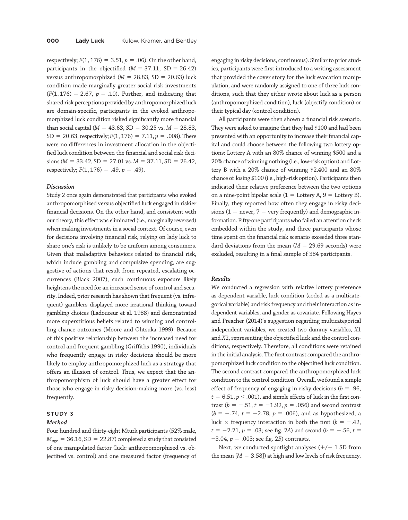respectively;  $F(1, 176) = 3.51$ ,  $p = .06$ ). On the other hand, participants in the objectified  $(M = 37.11, SD = 26.42)$ versus anthropomorphized ( $M = 28.83$ , SD = 20.63) luck condition made marginally greater social risk investments  $(F(1, 176) = 2.67, p = .10)$ . Further, and indicating that shared risk perceptions provided by anthropomorphized luck are domain-specific, participants in the evoked anthropomorphized luck condition risked significantly more financial than social capital ( $M = 43.63$ , SD = 30.25 vs.  $M = 28.83$ ,  $SD = 20.63$ , respectively;  $F(1, 176) = 7.11$ ,  $p = .008$ ). There were no differences in investment allocation in the objectified luck condition between the financial and social risk deci $sions (M = 33.42, SD = 27.01$  vs.  $M = 37.11, SD = 26.42$ , respectively;  $F(1, 176) = .49$ ,  $p = .49$ ).

# Discussion

Study 2 once again demonstrated that participants who evoked anthropomorphized versus objectified luck engaged in riskier financial decisions. On the other hand, and consistent with our theory, this effect was eliminated (i.e., marginally reversed) when making investments in a social context. Of course, even for decisions involving financial risk, relying on lady luck to share one's risk is unlikely to be uniform among consumers. Given that maladaptive behaviors related to financial risk, which include gambling and compulsive spending, are suggestive of actions that result from repeated, escalating occurrences (Black 2007), such continuous exposure likely heightens the need for an increased sense of control and security. Indeed, prior research has shown that frequent (vs. infrequent) gamblers displayed more irrational thinking toward gambling choices (Ladouceur et al. 1988) and demonstrated more superstitious beliefs related to winning and controlling chance outcomes (Moore and Ohtsuka 1999). Because of this positive relationship between the increased need for control and frequent gambling (Griffiths 1990), individuals who frequently engage in risky decisions should be more likely to employ anthropomorphized luck as a strategy that offers an illusion of control. Thus, we expect that the anthropomorphism of luck should have a greater effect for those who engage in risky decision-making more (vs. less) frequently.

# STUDY 3

#### Method

Four hundred and thirty-eight Mturk participants (52% male,  $M_{\text{age}} = 36.16$ , SD = 22.87) completed a study that consisted of one manipulated factor (luck: anthropomorphized vs. objectified vs. control) and one measured factor (frequency of

engaging in risky decisions, continuous). Similar to prior studies, participants were first introduced to a writing assessment that provided the cover story for the luck evocation manipulation, and were randomly assigned to one of three luck conditions, such that they either wrote about luck as a person (anthropomorphized condition), luck (objectify condition) or their typical day (control condition).

All participants were then shown a financial risk scenario. They were asked to imagine that they had \$100 and had been presented with an opportunity to increase their financial capital and could choose between the following two lottery options: Lottery A with an 80% chance of winning \$500 and a 20% chance of winning nothing (i.e., low-risk option) and Lottery B with a 20% chance of winning \$2,400 and an 80% chance of losing \$100 (i.e., high-risk option). Participants then indicated their relative preference between the two options on a nine-point bipolar scale ( $1 =$  Lottery A,  $9 =$  Lottery B). Finally, they reported how often they engage in risky decisions ( $1 =$  never,  $7 =$  very frequently) and demographic information. Fifty-one participants who failed an attention check embedded within the study, and three participants whose time spent on the financial risk scenario exceeded three standard deviations from the mean ( $M = 29.69$  seconds) were excluded, resulting in a final sample of 384 participants.

# Results

We conducted a regression with relative lottery preference as dependent variable, luck condition (coded as a multicategorical variable) and risk frequency and their interaction as independent variables, and gender as covariate. Following Hayes and Preacher (2014)'s suggestion regarding multicategorical independent variables, we created two dummy variables, X1 and X2, representing the objectified luck and the control conditions, respectively. Therefore, all conditions were retained in the initial analysis. The first contrast compared the anthropomorphized luck condition to the objectified luck condition. The second contrast compared the anthropomorphized luck condition to the control condition. Overall, we found a simple effect of frequency of engaging in risky decisions ( $b = .96$ ,  $t = 6.51, p < .001$ ), and simple effects of luck in the first contrast ( $b = -.51$ ,  $t = -1.92$ ,  $p = .056$ ) and second contrast  $(b = -.74, t = -2.78, p = .006)$ , and as hypothesized, a luck  $\times$  frequency interaction in both the first ( $b = -.42$ ,  $t = -2.21$ ,  $p = .03$ ; see fig. 2A) and second ( $b = -.56$ ,  $t =$  $-3.04$ ,  $p = .003$ ; see fig. 2B) contrasts.

Next, we conducted spotlight analyses  $(+/- 1$  SD from the mean  $[M = 3.58]$ ) at high and low levels of risk frequency.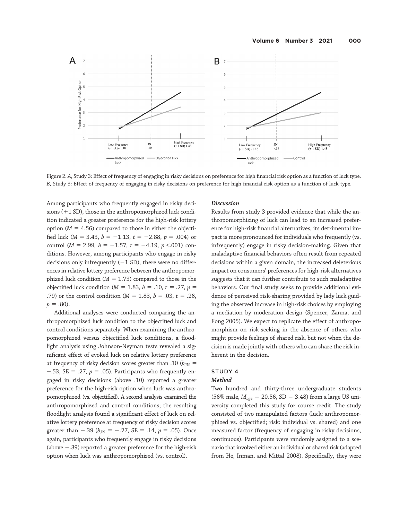

Figure 2. A, Study 3: Effect of frequency of engaging in risky decisions on preference for high financial risk option as a function of luck type. B, Study 3: Effect of frequency of engaging in risky decisions on preference for high financial risk option as a function of luck type.

Among participants who frequently engaged in risky decisions  $(+1 S_D)$ , those in the anthropomorphized luck condition indicated a greater preference for the high-risk lottery option ( $M = 4.56$ ) compared to those in either the objectified luck ( $M = 3.43$ ,  $b = -1.13$ ,  $t = -2.88$ ,  $p = .004$ ) or control ( $M = 2.99$ ,  $b = -1.57$ ,  $t = -4.19$ ,  $p < 0.001$ ) conditions. However, among participants who engage in risky decisions only infrequently  $(-1 S<sub>D</sub>)$ , there were no differences in relative lottery preference between the anthropomorphized luck condition ( $M = 1.73$ ) compared to those in the objectified luck condition ( $M = 1.83$ ,  $b = .10$ ,  $t = .27$ ,  $p =$ .79) or the control condition ( $M = 1.83$ ,  $b = .03$ ,  $t = .26$ ,  $p = .80$ ).

Additional analyses were conducted comparing the anthropomorphized luck condition to the objectified luck and control conditions separately. When examining the anthropomorphized versus objectified luck conditions, a floodlight analysis using Johnson-Neyman tests revealed a significant effect of evoked luck on relative lottery preference at frequency of risky decision scores greater than .10 ( $b_{\text{JN}} =$  $-.53$ , SE = .27,  $p = .05$ ). Participants who frequently engaged in risky decisions (above .10) reported a greater preference for the high-risk option when luck was anthropomorphized (vs. objectified). A second analysis examined the anthropomorphized and control conditions; the resulting floodlight analysis found a significant effect of luck on relative lottery preference at frequency of risky decision scores greater than  $-.39$  ( $b_{\text{JN}}$  =  $-.27$ , SE = .14, p = .05). Once again, participants who frequently engage in risky decisions (above  $-.39$ ) reported a greater preference for the high-risk option when luck was anthropomorphized (vs. control).

### Discussion

Results from study 3 provided evidence that while the anthropomorphizing of luck can lead to an increased preference for high-risk financial alternatives, its detrimental impact is more pronounced for individuals who frequently (vs. infrequently) engage in risky decision-making. Given that maladaptive financial behaviors often result from repeated decisions within a given domain, the increased deleterious impact on consumers' preferences for high-risk alternatives suggests that it can further contribute to such maladaptive behaviors. Our final study seeks to provide additional evidence of perceived risk-sharing provided by lady luck guiding the observed increase in high-risk choices by employing a mediation by moderation design (Spencer, Zanna, and Fong 2005). We expect to replicate the effect of anthropomorphism on risk-seeking in the absence of others who might provide feelings of shared risk, but not when the decision is made jointly with others who can share the risk inherent in the decision.

# STUDY 4

# Method

Two hundred and thirty-three undergraduate students (56% male,  $M_{age} = 20.56$ , SD = 3.48) from a large US university completed this study for course credit. The study consisted of two manipulated factors (luck: anthropomorphized vs. objectified; risk: individual vs. shared) and one measured factor (frequency of engaging in risky decisions, continuous). Participants were randomly assigned to a scenario that involved either an individual or shared risk (adapted from He, Inman, and Mittal 2008). Specifically, they were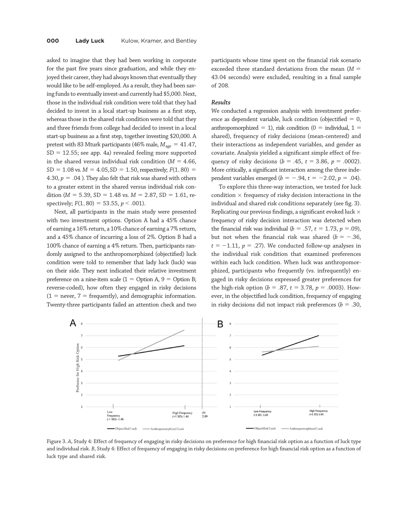asked to imagine that they had been working in corporate for the past five years since graduation, and while they enjoyed their career, they had always known that eventually they would like to be self-employed. As a result, they had been saving funds to eventually invest-and currently had \$5,000. Next, those in the individual risk condition were told that they had decided to invest in a local start-up business as a first step, whereas those in the shared risk condition were told that they and three friends from college had decided to invest in a local start-up business as a first step, together investing \$20,000. A pretest with 83 Mturk participants (46% male,  $M_{\text{age}} = 41.47$ ,  $SD = 12.55$ ; see app. 4a) revealed feeling more supported in the shared versus individual risk condition ( $M = 4.66$ ,  $SD = 1.08$  vs.  $M = 4.05$ ,  $SD = 1.50$ , respectively;  $F(1, 80) =$ 4.30,  $p = .04$  ). They also felt that risk was shared with others to a greater extent in the shared versus individual risk condition ( $M = 5.39$ , SD = 1.48 vs.  $M = 2.87$ , SD = 1.61, respectively;  $F(1, 80) = 53.55$ ,  $p < .001$ ).

Next, all participants in the main study were presented with two investment options. Option A had a 45% chance of earning a 16% return, a 10% chance of earning a 7% return, and a 45% chance of incurring a loss of 2%. Option B had a 100% chance of earning a 4% return. Then, participants randomly assigned to the anthropomorphized (objectified) luck condition were told to remember that lady luck (luck) was on their side. They next indicated their relative investment preference on a nine-item scale  $(1 =$  Option A,  $9 =$  Option B; reverse-coded), how often they engaged in risky decisions  $(1 =$  never,  $7 =$  frequently), and demographic information. Twenty-three participants failed an attention check and two

participants whose time spent on the financial risk scenario exceeded three standard deviations from the mean  $(M =$ 43:04 seconds) were excluded, resulting in a final sample of 208.

## Results

We conducted a regression analysis with investment preference as dependent variable, luck condition (objectified  $= 0$ , anthropomorphized = 1), risk condition (0 = individual, 1 = shared), frequency of risky decisions (mean-centered) and their interactions as independent variables, and gender as covariate. Analysis yielded a significant simple effect of frequency of risky decisions ( $b = .45$ ,  $t = 3.86$ ,  $p = .0002$ ). More critically, a significant interaction among the three independent variables emerged ( $b = -.94$ ,  $t = -2.02$ ,  $p = .04$ ).

To explore this three-way interaction, we tested for luck condition  $\times$  frequency of risky decision interactions in the individual and shared risk conditions separately (see fig. 3). Replicating our previous findings, a significant evoked luck  $\times$ frequency of risky decision interaction was detected when the financial risk was individual ( $b = .57$ ,  $t = 1.73$ ,  $p = .09$ ), but not when the financial risk was shared ( $b = -.36$ ,  $t = -1.11$ ,  $p = .27$ ). We conducted follow-up analyses in the individual risk condition that examined preferences within each luck condition. When luck was anthropomorphized, participants who frequently (vs. infrequently) engaged in risky decisions expressed greater preferences for the high-risk option ( $b = .87$ ,  $t = 3.78$ ,  $p = .0003$ ). However, in the objectified luck condition, frequency of engaging in risky decisions did not impact risk preferences ( $b = .30$ ,



Figure 3. A, Study 4: Effect of frequency of engaging in risky decisions on preference for high financial risk option as a function of luck type and individual risk. B, Study 4: Effect of frequency of engaging in risky decisions on preference for high financial risk option as a function of luck type and shared risk.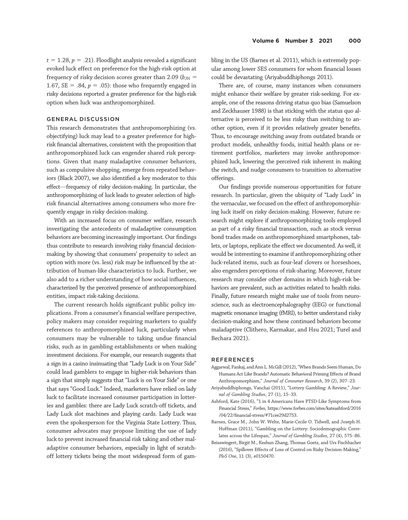$t = 1.28$ ,  $p = .21$ ). Floodlight analysis revealed a significant evoked luck effect on preference for the high-risk option at frequency of risky decision scores greater than 2.09 ( $b_{\text{JN}}$  = 1.67, SE = .84,  $p = .05$ ): those who frequently engaged in risky decisions reported a greater preference for the high-risk option when luck was anthropomorphized.

# GENERAL DISCUSSION

This research demonstrates that anthropomorphizing (vs. objectifying) luck may lead to a greater preference for highrisk financial alternatives, consistent with the proposition that anthropomorphized luck can engender shared risk perceptions. Given that many maladaptive consumer behaviors, such as compulsive shopping, emerge from repeated behaviors (Black 2007), we also identified a key moderator to this effect—frequency of risky decision-making. In particular, the anthropomorphizing of luck leads to greater selection of highrisk financial alternatives among consumers who more frequently engage in risky decision-making.

With an increased focus on consumer welfare, research investigating the antecedents of maladaptive consumption behaviors are becoming increasingly important. Our findings thus contribute to research involving risky financial decisionmaking by showing that consumers' propensity to select an option with more (vs. less) risk may be influenced by the attribution of human-like characteristics to luck. Further, we also add to a richer understanding of how social influences, characterized by the perceived presence of anthropomorphized entities, impact risk-taking decisions.

The current research holds significant public policy implications. From a consumer's financial welfare perspective, policy makers may consider requiring marketers to qualify references to anthropomorphized luck, particularly when consumers may be vulnerable to taking undue financial risks, such as in gambling establishments or when making investment decisions. For example, our research suggests that a sign in a casino insinuating that "Lady Luck is on Your Side" could lead gamblers to engage in higher-risk behaviors than a sign that simply suggests that "Luck is on Your Side" or one that says "Good Luck." Indeed, marketers have relied on lady luck to facilitate increased consumer participation in lotteries and gambles: there are Lady Luck scratch-off tickets, and Lady Luck slot machines and playing cards. Lady Luck was even the spokesperson for the Virginia State Lottery. Thus, consumer advocates may propose limiting the use of lady luck to prevent increased financial risk taking and other maladaptive consumer behaviors, especially in light of scratchoff lottery tickets being the most widespread form of gambling in the US (Barnes et al. 2011), which is extremely popular among lower SES consumers for whom financial losses could be devastating (Ariyabuddhiphongs 2011).

There are, of course, many instances when consumers might enhance their welfare by greater risk-seeking. For example, one of the reasons driving status quo bias (Samuelson and Zeckhauser 1988) is that sticking with the status quo alternative is perceived to be less risky than switching to another option, even if it provides relatively greater benefits. Thus, to encourage switching away from outdated brands or product models, unhealthy foods, initial health plans or retirement portfolios, marketers may invoke anthropomorphized luck, lowering the perceived risk inherent in making the switch, and nudge consumers to transition to alternative offerings.

Our findings provide numerous opportunities for future research. In particular, given the ubiquity of "Lady Luck" in the vernacular, we focused on the effect of anthropomorphizing luck itself on risky decision-making. However, future research might explore if anthropomorphizing tools employed as part of a risky financial transaction, such as stock versus bond trades made on anthropomorphized smartphones, tablets, or laptops, replicate the effect we documented. As well, it would be interesting to examine if anthropomorphizing other luck-related items, such as four-leaf clovers or horseshoes, also engenders perceptions of risk-sharing. Moreover, future research may consider other domains in which high-risk behaviors are prevalent, such as activities related to health risks. Finally, future research might make use of tools from neuroscience, such as electroencephalography (EEG) or functional magnetic resonance imaging (fMRI), to better understand risky decision-making and how these continued behaviors become maladaptive (Clithero, Karmakar, and Hsu 2021; Turel and Bechara 2021).

#### REFERENCES

- Aggarwal, Pankaj, and Ann L. McGill (2012),"When Brands Seem Human, Do Humans Act Like Brands? Automatic Behavioral Priming Effects of Brand Anthropomorphism," Journal of Consumer Research, 39 (2), 307–23.
- Ariyabuddhiphongs, Vanchai (2011), "Lottery Gambling: A Review," Journal of Gambling Studies, 27 (1), 15–33.
- Ashford, Kate (2016), "1 in 4 Americans Have PTSD-Like Symptoms from Financial Stress," Forbes, [https://www.forbes.com/sites/kateashford/2016](https://www.forbes.com/sites/kateashford/2016/04/22/financial-stress/#71cee29d2753) /04/22/fi[nancial-stress/#71cee29d2753](https://www.forbes.com/sites/kateashford/2016/04/22/financial-stress/#71cee29d2753).
- Barnes, Grace M., John W. Welte, Marie-Cecile O. Tidwell, and Joseph H. Hoffman (2011), "Gambling on the Lottery: Sociodemographic Correlates across the Lifespan," Journal of Gambling Studies, 27 (4), 575–86.
- Beisswingert, Birgit M., Keshun Zhang, Thomas Goetz, and Urs Fischbacher (2016), "Spillover Effects of Loss of Control on Risky Decision-Making," PloS One, 11 (3), e0150470.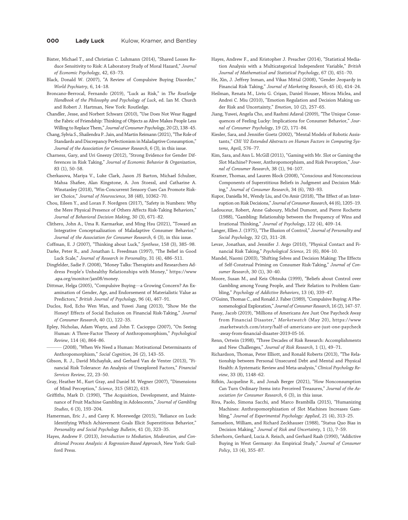## **000 Lady Luck** Kulow, Kramer, and Bentley

- Bixter, Michael T., and Christian C. Luhmann (2014), "Shared Losses Reduce Sensitivity to Risk: A Laboratory Study of Moral Hazard," Journal of Economic Psychology, 42, 63–73.
- Black, Donald W. (2007), "A Review of Compulsive Buying Disorder," World Psychiatry, 6, 14–18.
- Broncano-Berrocal, Fernando (2019), "Luck as Risk," in The Routledge Handbook of the Philosophy and Psychology of Luck, ed. Ian M. Church and Robert J. Hartman, New York: Routledge.
- Chandler, Jesse, and Norbert Schwarz (2010), "Use Does Not Wear Ragged the Fabric of Friendship: Thinking of Objects as Alive Makes People Less Willing to Replace Them," Journal of Consumer Psychology, 20 (2), 138–45.
- Chang, Sylvia S., Shailendra P. Jain, and Martin Reimann (2021),"The Role of Standards and Discrepancy Perfectionism in Maladaptive Consumption," Journal of the Association for Consumer Research, 6 (3), in this issue.
- Charness, Gary, and Uri Gneezy (2012), "Strong Evidence for Gender Differences in Risk Taking," Journal of Economic Behavior & Organization, 83 (1), 50–58.
- Cherkasova, Mariya V., Luke Clark, Jason JS Barton, Michael Schulzer, Mahsa Shafiee, Alan Kingstone, A. Jon Stoessl, and Catharine A. Winstanley (2018), "Win-Concurrent Sensory Cues Can Promote Riskier Choice," Journal of Neuroscience, 38 (48), 10362–70.
- Chou, Eileen Y., and Loran F. Nordgren (2017), "Safety in Numbers: Why the Mere Physical Presence of Others Affects Risk-Taking Behaviors," Journal of Behavioral Decision Making, 30 (3), 671–82.
- Clithero, John A., Uma R. Karmarkar, and Ming Hsu (2021), "Toward an Integrative Conceptualization of Maladaptive Consumer Behavior," Journal of the Association for Consumer Research, 6 (3), in this issue.
- Coffman, E. J (2007), "Thinking about Luck," Synthese, 158 (3), 385–98. Darke, Peter R., and Jonathan L. Freedman (1997), "The Belief in Good
- Luck Scale," Journal of Research in Personality, 31 (4), 486–511. Dingfelder, Sadie F. (2008), "Money Talks: Therapists and Researchers Address People's Unhealthy Relationships with Money," [https://www](https://www.apa.org/monitor/jan08/money)
- [.apa.org/monitor/jan08/money.](https://www.apa.org/monitor/jan08/money) Dittmar, Helga (2005), "Compulsive Buying—a Growing Concern? An Ex-
- amination of Gender, Age, and Endorsement of Materialistic Value as Predictors," British Journal of Psychology, 96 (4), 467–91.
- Duclos, Rod, Echo Wen Wan, and Yuwei Jiang (2013), "Show Me the Honey! Effects of Social Exclusion on Financial Risk-Taking," Journal of Consumer Research, 40 (1), 122–35.
- Epley, Nicholas, Adam Waytz, and John T. Cacioppo (2007), "On Seeing Human: A Three-Factor Theory of Anthropomorphism," Psychological Review, 114 (4), 864–86.
- (2008), "When We Need a Human: Motivational Determinants of Anthropomorphism," Social Cognition, 26 (2), 143–55.
- Gibson, R. J., David Michayluk, and Gerhard Van de Venter (2013), "Financial Risk Tolerance: An Analysis of Unexplored Factors," Financial Services Review, 22, 23–50.
- Gray, Heather M., Kurt Gray, and Daniel M. Wegner (2007), "Dimensions of Mind Perception," Science, 315 (5812), 619.
- Griffiths, Mark D. (1990), "The Acquisition, Development, and Maintenance of Fruit Machine Gambling in Adolescents," Journal of Gambling Studies, 6 (3), 193–204.
- Hamerman, Eric J., and Carey K. Morewedge (2015), "Reliance on Luck: Identifying Which Achievement Goals Elicit Superstitious Behavior," Personality and Social Psychology Bulletin, 41 (3), 323–35.
- Hayes, Andrew F. (2013), Introduction to Mediation, Moderation, and Conditional Process Analysis: A Regression-Based Approach, New York: Guilford Press.
- Hayes, Andrew F., and Kristopher J. Preacher (2014), "Statistical Mediation Analysis with a Multicategorical Independent Variable," British Journal of Mathematical and Statistical Psychology, 67 (3), 451–70.
- He, Xin, J. Jeffrey Inman, and Vikas Mittal (2008), "Gender Jeopardy in Financial Risk Taking," Journal of Marketing Research, 45 (4), 414–24.
- Heilman, Renata M., Liviu G. Crişan, Daniel Houser, Mircea Miclea, and Andrei C. Miu (2010), "Emotion Regulation and Decision Making under Risk and Uncertainty," Emotion, 10 (2), 257-65.
- Jiang, Yuwei, Angela Cho, and Rashmi Adaval (2009), "The Unique Consequences of Feeling Lucky: Implications for Consumer Behavior," Journal of Consumer Psychology, 19 (2), 171–84.
- Kiesler, Sara, and Jennifer Goetz (2002), "Mental Models of Robotic Assistants," CHI '02 Extended Abstracts on Human Factors in Computing Systems, April, 576–77.
- Kim, Sara, and Ann L. McGill (2011), "Gaming with Mr. Slot or Gaming the Slot Machine? Power, Anthropomorphism, and Risk Perception," Journal of Consumer Research, 38 (1), 94–107.
- Kramer, Thomas, and Lauren Block (2008), "Conscious and Nonconscious Components of Superstitious Beliefs in Judgment and Decision Making," Journal of Consumer Research, 34 (6), 783–93.
- Kupor, Daniella M., Wendy Liu, and On Amir (2018), "The Effect of an Interruption on Risk Decisions," Journal of Consumer Research, 44 (6), 1205–19.
- Ladouceur, Robert, Anne Gaboury, Michel Dumont, and Pierre Rochette (1988), "Gambling: Relationship between the Frequency of Wins and Irrational Thinking," Journal of Psychology, 122 (4), 409–14.
- Langer, Ellen J. (1975), "The Illusion of Control," Journal of Personality and Social Psychology, 32 (2), 311–28.
- Levav, Jonathan, and Jennifer J. Argo (2010), "Physical Contact and Financial Risk Taking," Psychological Science, 21 (6), 804–10.
- Mandel, Naomi (2003), "Shifting Selves and Decision Making: The Effects of Self-Construal Priming on Consumer Risk-Taking," Journal of Consumer Research, 30 (1), 30–40.
- Moore, Susan M., and Keis Ohtsuka (1999), "Beliefs about Control over Gambling among Young People, and Their Relation to Problem Gambling," Psychology of Addictive Behaviors, 13 (4), 339–47.
- O'Guinn, Thomas C., and Ronald J. Faber (1989), "Compulsive Buying: A Phenomenological Exploration," Journal of Consumer Research, 16 (2), 147–57.
- Passy, Jacob (2019), "Millions of Americans Are Just One Paycheck Away from Financial Disaster," Marketwatch (May 20), [https://www](https://www.marketwatch.com/story/half-of-americans-are-just-one-paycheck-away-from-financial-disaster-2019-05-16) [.marketwatch.com/story/half-of-americans-are-just-one-paycheck](https://www.marketwatch.com/story/half-of-americans-are-just-one-paycheck-away-from-financial-disaster-2019-05-16) -away-from-fi[nancial-disaster-2019-05-16](https://www.marketwatch.com/story/half-of-americans-are-just-one-paycheck-away-from-financial-disaster-2019-05-16).
- Renn, Ortwin (1998), "Three Decades of Risk Research: Accomplishments and New Challenges," Journal of Risk Research, 1 (1), 49–71.
- Richardson, Thomas, Peter Elliott, and Ronald Roberts (2013), "The Relationship between Personal Unsecured Debt and Mental and Physical Health: A Systematic Review and Meta-analysis," Clinical Psychology Review, 33 (8), 1148–62.
- Rifkin, Jacqueline R., and Jonah Berger (2021), "How Nonconsumption Can Turn Ordinary Items into Perceived Treasures," Journal of the Association for Consumer Research, 6 (3), in this issue.
- Riva, Paolo, Simona Sacchi, and Marco Brambilla (2015), "Humanizing Machines: Anthropomorphization of Slot Machines Increases Gambling," Journal of Experimental Psychology: Applied, 21 (4), 313-25.
- Samuelson, William, and Richard Zeckhauser (1988), "Status Quo Bias in Decision Making," Journal of Risk and Uncertainty, 1 (1), 7–59.
- Scherhorn, Gerhard, Lucia A. Reisch, and Gerhard Raab (1990), "Addictive Buying in West Germany: An Empirical Study," Journal of Consumer Policy, 13 (4), 355–87.